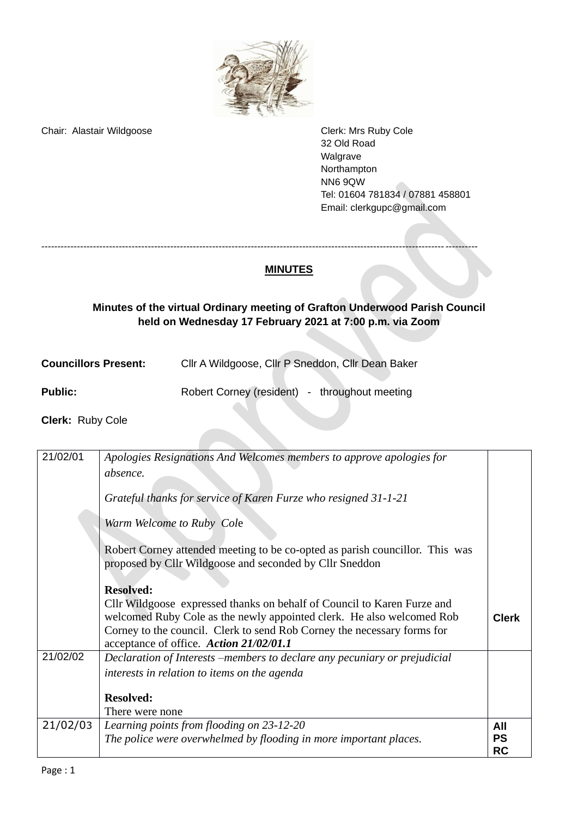

Chair: Alastair Wildgoose Chair: Alastair Wildgoose Chair: Alastair Wildgoose

32 Old Road Walgrave Northampton NN6 9QW Tel: 01604 781834 / 07881 458801 Email: [clerkgupc@gmail.com](mailto:clerkgupc@gmail.com)

## ---------------------------------------------------------------------------------------------------------------------------------------

## **Minutes of the virtual Ordinary meeting of Grafton Underwood Parish Council held on Wednesday 17 February 2021 at 7:00 p.m. via Zoom**

**MINUTES**

| CIIr A Wildgoose, CIIr P Sneddon, CIIr Dean Baker | <b>Councillors Present:</b> |  |  |  |
|---------------------------------------------------|-----------------------------|--|--|--|
|---------------------------------------------------|-----------------------------|--|--|--|

| <b>Public:</b><br>Robert Corney (resident) - throughout meeting |  |
|-----------------------------------------------------------------|--|
|-----------------------------------------------------------------|--|

**Clerk:** Ruby Cole

| 21/02/01 | Apologies Resignations And Welcomes members to approve apologies for                                                                    |              |
|----------|-----------------------------------------------------------------------------------------------------------------------------------------|--------------|
|          | absence.                                                                                                                                |              |
|          | Grateful thanks for service of Karen Furze who resigned 31-1-21                                                                         |              |
|          | Warm Welcome to Ruby Cole                                                                                                               |              |
|          | Robert Corney attended meeting to be co-opted as parish councillor. This was<br>proposed by Cllr Wildgoose and seconded by Cllr Sneddon |              |
|          | <b>Resolved:</b>                                                                                                                        |              |
|          | Cllr Wildgoose expressed thanks on behalf of Council to Karen Furze and                                                                 |              |
|          | welcomed Ruby Cole as the newly appointed clerk. He also welcomed Rob                                                                   | <b>Clerk</b> |
|          | Corney to the council. Clerk to send Rob Corney the necessary forms for                                                                 |              |
|          | acceptance of office. Action 21/02/01.1                                                                                                 |              |
| 21/02/02 | Declaration of Interests -members to declare any pecuniary or prejudicial                                                               |              |
|          | interests in relation to items on the agenda                                                                                            |              |
|          |                                                                                                                                         |              |
|          | <b>Resolved:</b>                                                                                                                        |              |
|          | There were none                                                                                                                         |              |
| 21/02/03 | Learning points from flooding on 23-12-20                                                                                               | All          |
|          | The police were overwhelmed by flooding in more important places.                                                                       | <b>PS</b>    |
|          |                                                                                                                                         | <b>RC</b>    |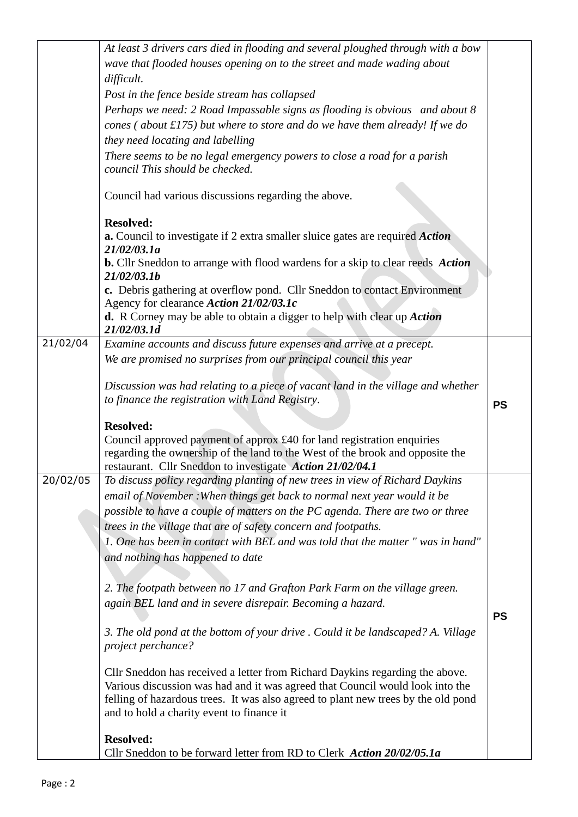|          | At least 3 drivers cars died in flooding and several ploughed through with a bow                                                                                   |           |
|----------|--------------------------------------------------------------------------------------------------------------------------------------------------------------------|-----------|
|          | wave that flooded houses opening on to the street and made wading about                                                                                            |           |
|          | difficult.                                                                                                                                                         |           |
|          | Post in the fence beside stream has collapsed                                                                                                                      |           |
|          | Perhaps we need: 2 Road Impassable signs as flooding is obvious and about 8                                                                                        |           |
|          | cones (about $f(175)$ but where to store and do we have them already! If we do                                                                                     |           |
|          | they need locating and labelling                                                                                                                                   |           |
|          | There seems to be no legal emergency powers to close a road for a parish                                                                                           |           |
|          | council This should be checked.                                                                                                                                    |           |
|          |                                                                                                                                                                    |           |
|          | Council had various discussions regarding the above.                                                                                                               |           |
|          | <b>Resolved:</b>                                                                                                                                                   |           |
|          | a. Council to investigate if 2 extra smaller sluice gates are required Action<br>21/02/03.1a                                                                       |           |
|          | <b>b.</b> Cllr Sneddon to arrange with flood wardens for a skip to clear reeds Action<br>21/02/03.1b                                                               |           |
|          | c. Debris gathering at overflow pond. Cllr Sneddon to contact Environment<br>Agency for clearance Action 21/02/03.1c                                               |           |
|          | d. R Corney may be able to obtain a digger to help with clear up Action                                                                                            |           |
|          | 21/02/03.1d                                                                                                                                                        |           |
| 21/02/04 | Examine accounts and discuss future expenses and arrive at a precept.                                                                                              |           |
|          | We are promised no surprises from our principal council this year                                                                                                  |           |
|          |                                                                                                                                                                    |           |
|          | Discussion was had relating to a piece of vacant land in the village and whether                                                                                   |           |
|          | to finance the registration with Land Registry.                                                                                                                    | <b>PS</b> |
|          | <b>Resolved:</b>                                                                                                                                                   |           |
|          | Council approved payment of approx £40 for land registration enquiries                                                                                             |           |
|          | regarding the ownership of the land to the West of the brook and opposite the                                                                                      |           |
|          | restaurant. Cllr Sneddon to investigate Action 21/02/04.1                                                                                                          |           |
| 20/02/05 | To discuss policy regarding planting of new trees in view of Richard Daykins                                                                                       |           |
|          | email of November : When things get back to normal next year would it be                                                                                           |           |
|          | possible to have a couple of matters on the PC agenda. There are two or three                                                                                      |           |
|          | trees in the village that are of safety concern and footpaths.                                                                                                     |           |
|          | 1. One has been in contact with BEL and was told that the matter " was in hand"                                                                                    |           |
|          | and nothing has happened to date                                                                                                                                   |           |
|          |                                                                                                                                                                    |           |
|          | 2. The footpath between no 17 and Grafton Park Farm on the village green.                                                                                          |           |
|          | again BEL land and in severe disrepair. Becoming a hazard.                                                                                                         |           |
|          |                                                                                                                                                                    | <b>PS</b> |
|          | 3. The old pond at the bottom of your drive . Could it be landscaped? A. Village<br>project perchance?                                                             |           |
|          |                                                                                                                                                                    |           |
|          | Cllr Sneddon has received a letter from Richard Daykins regarding the above.                                                                                       |           |
|          | Various discussion was had and it was agreed that Council would look into the<br>felling of hazardous trees. It was also agreed to plant new trees by the old pond |           |
|          | and to hold a charity event to finance it                                                                                                                          |           |
|          |                                                                                                                                                                    |           |
|          | <b>Resolved:</b>                                                                                                                                                   |           |
|          | Cllr Sneddon to be forward letter from RD to Clerk Action 20/02/05.1a                                                                                              |           |